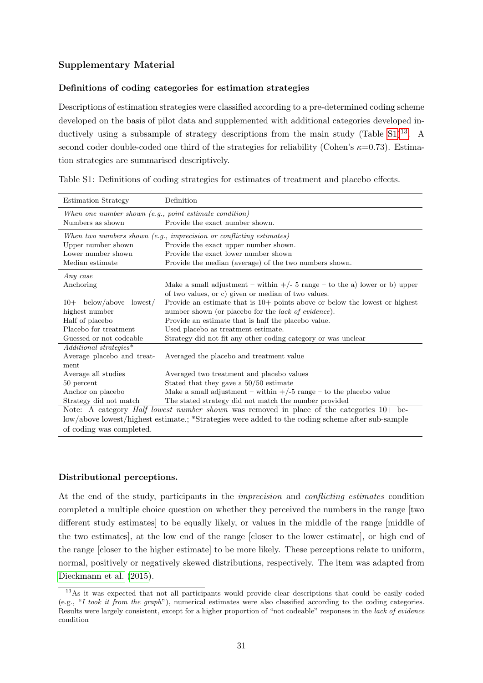## Supplementary Material

### Definitions of coding categories for estimation strategies

Descriptions of estimation strategies were classified according to a pre-determined coding scheme developed on the basis of pilot data and supplemented with additional categories developed inductively using a subsample of strategy descriptions from the main study  $(Table S1)^{13}$  $(Table S1)^{13}$  $(Table S1)^{13}$  $(Table S1)^{13}$  $(Table S1)^{13}$ . A second coder double-coded one third of the strategies for reliability (Cohen's  $\kappa=0.73$ ). Estimation strategies are summarised descriptively.

<span id="page-0-0"></span>

| <b>Estimation Strategy</b>                                                                       | Definition                                                                    |  |  |  |  |  |  |
|--------------------------------------------------------------------------------------------------|-------------------------------------------------------------------------------|--|--|--|--|--|--|
| When one number shown (e.g., point estimate condition)                                           |                                                                               |  |  |  |  |  |  |
| Numbers as shown                                                                                 | Provide the exact number shown.                                               |  |  |  |  |  |  |
| When two numbers shown (e.g., imprecision or conflicting estimates)                              |                                                                               |  |  |  |  |  |  |
| Upper number shown                                                                               | Provide the exact upper number shown.                                         |  |  |  |  |  |  |
| Lower number shown                                                                               | Provide the exact lower number shown                                          |  |  |  |  |  |  |
| Median estimate                                                                                  | Provide the median (average) of the two numbers shown.                        |  |  |  |  |  |  |
| Any case                                                                                         |                                                                               |  |  |  |  |  |  |
| Anchoring                                                                                        | Make a small adjustment – within $+/- 5$ range – to the a) lower or b) upper  |  |  |  |  |  |  |
|                                                                                                  | of two values, or c) given or median of two values.                           |  |  |  |  |  |  |
| below/above<br>lowest/<br>$10+$                                                                  | Provide an estimate that is $10+$ points above or below the lowest or highest |  |  |  |  |  |  |
| highest number                                                                                   | number shown (or placebo for the <i>lack of evidence</i> ).                   |  |  |  |  |  |  |
| Half of placebo                                                                                  | Provide an estimate that is half the placebo value.                           |  |  |  |  |  |  |
| Placebo for treatment                                                                            | Used placebo as treatment estimate.                                           |  |  |  |  |  |  |
| Guessed or not codeable                                                                          | Strategy did not fit any other coding category or was unclear                 |  |  |  |  |  |  |
| Additional strategies*                                                                           |                                                                               |  |  |  |  |  |  |
| Average placebo and treat-                                                                       | Averaged the placebo and treatment value                                      |  |  |  |  |  |  |
| ment                                                                                             |                                                                               |  |  |  |  |  |  |
| Average all studies                                                                              | Averaged two treatment and placebo values                                     |  |  |  |  |  |  |
| 50 percent                                                                                       | Stated that they gave a $50/50$ estimate                                      |  |  |  |  |  |  |
| Anchor on placebo                                                                                | Make a small adjustment – within $+/-5$ range – to the placebo value          |  |  |  |  |  |  |
| Strategy did not match                                                                           | The stated strategy did not match the number provided                         |  |  |  |  |  |  |
| Note: A category <i>Half lowest number shown</i> was removed in place of the categories 10+ be-  |                                                                               |  |  |  |  |  |  |
| low/above lowest/highest estimate.; *Strategies were added to the coding scheme after sub-sample |                                                                               |  |  |  |  |  |  |
| of coding was completed.                                                                         |                                                                               |  |  |  |  |  |  |

Table S1: Definitions of coding strategies for estimates of treatment and placebo effects.

#### Distributional perceptions.

At the end of the study, participants in the imprecision and conflicting estimates condition completed a multiple choice question on whether they perceived the numbers in the range [two different study estimates] to be equally likely, or values in the middle of the range [middle of the two estimates], at the low end of the range [closer to the lower estimate], or high end of the range [closer to the higher estimate] to be more likely. These perceptions relate to uniform, normal, positively or negatively skewed distributions, respectively. The item was adapted from [Dieckmann et al.](#page--1-0) [\(2015\)](#page--1-0).

<span id="page-0-1"></span><sup>&</sup>lt;sup>13</sup>As it was expected that not all participants would provide clear descriptions that could be easily coded (e.g., "I took it from the graph"), numerical estimates were also classified according to the coding categories. Results were largely consistent, except for a higher proportion of "not codeable" responses in the lack of evidence condition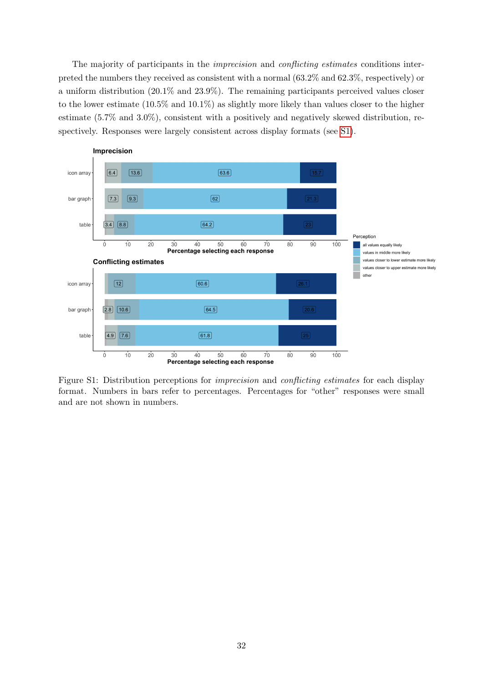The majority of participants in the *imprecision* and *conflicting estimates* conditions interpreted the numbers they received as consistent with a normal (63.2% and 62.3%, respectively) or a uniform distribution (20.1% and 23.9%). The remaining participants perceived values closer to the lower estimate (10.5% and 10.1%) as slightly more likely than values closer to the higher estimate (5.7% and 3.0%), consistent with a positively and negatively skewed distribution, respectively. Responses were largely consistent across display formats (see [S1\)](#page-1-0).

<span id="page-1-0"></span>

Figure S1: Distribution perceptions for imprecision and conflicting estimates for each display format. Numbers in bars refer to percentages. Percentages for "other" responses were small and are not shown in numbers.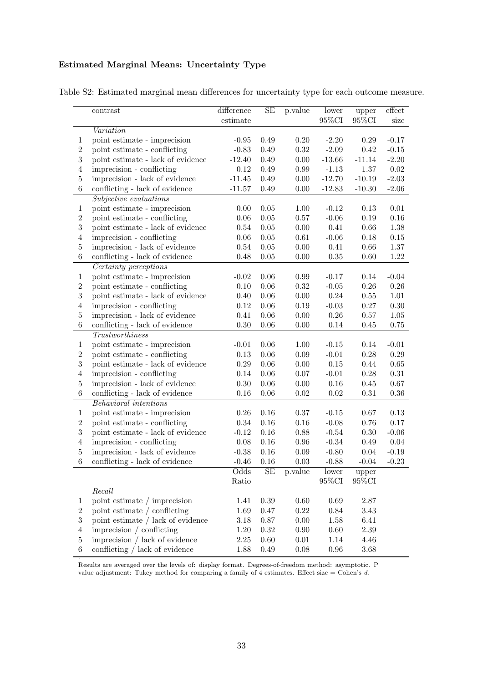# Estimated Marginal Means: Uncertainty Type

|  |  |  | Table S2: Estimated marginal mean differences for uncertainty type for each outcome measure. |  |  |  |
|--|--|--|----------------------------------------------------------------------------------------------|--|--|--|
|  |  |  |                                                                                              |  |  |  |

|                  | contrast                              | difference | SE         | p.value    | lower             | upper             | $\overline{\text{effect}}$ |
|------------------|---------------------------------------|------------|------------|------------|-------------------|-------------------|----------------------------|
|                  |                                       | estimate   |            |            | $95\%\mathrm{CI}$ | $95\%\mathrm{CI}$ | size                       |
|                  | Variation                             |            |            |            |                   |                   |                            |
| 1                | point estimate - imprecision          | $-0.95$    | 0.49       | 0.20       | $-2.20$           | 0.29              | $-0.17$                    |
| $\,2$            | point estimate - conflicting          | $-0.83$    | 0.49       | $\rm 0.32$ | $-2.09$           | $\rm 0.42$        | $-0.15$                    |
| $\sqrt{3}$       | point estimate - lack of evidence     | $-12.40$   | 0.49       | $0.00\,$   | $-13.66$          | $-11.14$          | $-2.20$                    |
| $\overline{4}$   | imprecision - conflicting             | $0.12\,$   | 0.49       | $0.99\,$   | $-1.13$           | 1.37              | $\rm 0.02$                 |
| $\bf 5$          | imprecision - lack of evidence        | $-11.45$   | 0.49       | $0.00\,$   | $-12.70$          | $-10.19$          | $-2.03$                    |
| $\,6\,$          | conflicting - lack of evidence        | $-11.57$   | 0.49       | 0.00       | $-12.83$          | $-10.30$          | $-2.06$                    |
|                  | Subjective evaluations                |            |            |            |                   |                   |                            |
| $\mathbf{1}$     | point estimate - imprecision          | 0.00       | 0.05       | 1.00       | $-0.12$           | 0.13              | $0.01\,$                   |
| $\,2$            | point estimate - conflicting          | 0.06       | 0.05       | 0.57       | $-0.06$           | $0.19\,$          | $0.16\,$                   |
| $\overline{3}$   | point estimate - lack of evidence     | 0.54       | 0.05       | 0.00       | 0.41              | 0.66              | $1.38\,$                   |
| $\overline{4}$   | imprecision - conflicting             | $0.06\,$   | 0.05       | 0.61       | $-0.06$           | $0.18\,$          | $0.15\,$                   |
| $\bf 5$          | imprecision - lack of evidence        | 0.54       | 0.05       | 0.00       | 0.41              | $0.66\,$          | $1.37\,$                   |
| $\,6\,$          | conflicting - lack of evidence        | 0.48       | $0.05\,$   | 0.00       | $0.35\,$          | 0.60              | $1.22\,$                   |
|                  | Certainty perceptions                 |            |            |            |                   |                   |                            |
| $\mathbf{1}$     | point estimate - imprecision          | $-0.02$    | 0.06       | 0.99       | $-0.17$           | 0.14              | $-0.04$                    |
| $\,2$            | point estimate - conflicting          | 0.10       | 0.06       | 0.32       | $-0.05$           | $0.26\,$          | $0.26\,$                   |
| $\sqrt{3}$       | point estimate - lack of evidence     | 0.40       | 0.06       | 0.00       | $0.24\,$          | $0.55\,$          | $1.01\,$                   |
| $\overline{4}$   | imprecision - conflicting             | $0.12\,$   | 0.06       | 0.19       | $-0.03$           | $0.27\,$          | $0.30\,$                   |
| $\bf 5$          | imprecision - lack of evidence        | 0.41       | 0.06       | 0.00       | $0.26\,$          | $0.57\,$          | $1.05\,$                   |
| $\,6$            | conflicting - lack of evidence        | 0.30       | 0.06       | 0.00       | 0.14              | 0.45              | $0.75\,$                   |
|                  | $\label{thm:2} Trust worthiness$      |            |            |            |                   |                   |                            |
| $\mathbf{1}$     | point estimate - imprecision          | $-0.01$    | 0.06       | 1.00       | $-0.15$           | $0.14\,$          | $-0.01$                    |
| $\,2$            | point estimate - conflicting          | $0.13\,$   | 0.06       | 0.09       | $-0.01$           | 0.28              | $0.29\,$                   |
| $\sqrt{3}$       | point estimate - lack of evidence     | 0.29       | 0.06       | 0.00       | $0.15\,$          | 0.44              | $0.65\,$                   |
| $\overline{4}$   | imprecision - conflicting             | 0.14       | 0.06       | 0.07       | $-0.01$           | $0.28\,$          | $0.31\,$                   |
| $\bf 5$          | imprecision - lack of evidence        | $0.30\,$   | 0.06       | 0.00       | $0.16\,$          | $0.45\,$          | $0.67\,$                   |
| $\,6\,$          | conflicting - lack of evidence        | 0.16       | $0.06\,$   | 0.02       | $0.02\,$          | $\rm 0.31$        | $0.36\,$                   |
|                  | <b>Behavioral</b> intentions          |            |            |            |                   |                   |                            |
| $\mathbf{1}$     | point estimate - imprecision          | 0.26       | 0.16       | 0.37       | $-0.15$           | $0.67\,$          | 0.13                       |
| $\,2$            | point estimate - conflicting          | 0.34       | $0.16\,$   | 0.16       | $-0.08$           | 0.76              | $0.17\,$                   |
| $\sqrt{3}$       | point estimate - lack of evidence     | $-0.12$    | $0.16\,$   | 0.88       | $-0.54$           | $0.30\,$          | $-0.06$                    |
| $\overline{4}$   | imprecision - conflicting             | 0.08       | 0.16       | 0.96       | $-0.34$           | 0.49              | $0.04\,$                   |
| $\bf 5$          | imprecision - lack of evidence        | $-0.38$    | 0.16       | 0.09       | $-0.80$           | $0.04\,$          | $-0.19$                    |
| $\,6$            | conflicting - lack of evidence        | $-0.46$    | 0.16       | 0.03       | $-0.88$           | $-0.04$           | $-0.23$                    |
|                  |                                       | Odds       | SE         | p.value    | lower             | upper             |                            |
|                  |                                       | Ratio      |            |            | 95%CI             | 95%CI             |                            |
|                  | Recall                                |            |            |            |                   |                   |                            |
| $\mathbf{1}$     | point estimate $\slash$ imprecision   | 1.41       | $0.39\,$   | 0.60       | 0.69              | $2.87\,$          |                            |
| $\,2$            | point estimate / conflicting          | 1.69       | 0.47       | $0.22\,$   | $0.84\,$          | $3.43\,$          |                            |
| $\boldsymbol{3}$ | point estimate / lack of evidence     | 3.18       | $0.87\,$   | $0.00\,$   | $1.58\,$          | $6.41\,$          |                            |
| $\overline{4}$   | $imprecision /$ conflicting           | $1.20\,$   | $\rm 0.32$ | $0.90\,$   | $0.60\,$          | $2.39\,$          |                            |
| $\bf 5$          | imprecision / lack of evidence        | $2.25\,$   | $0.60\,$   | $0.01\,$   | 1.14              | 4.46              |                            |
| $\,6\,$          | conflicting $\slash$ lack of evidence | 1.88       | 0.49       | 0.08       | $0.96\,$          | $3.68\,$          |                            |

Results are averaged over the levels of: display format. Degrees-of-freedom method: asymptotic. P value adjustment: Tukey method for comparing a family of 4 estimates. Effect size  $=$  Cohen's d.

.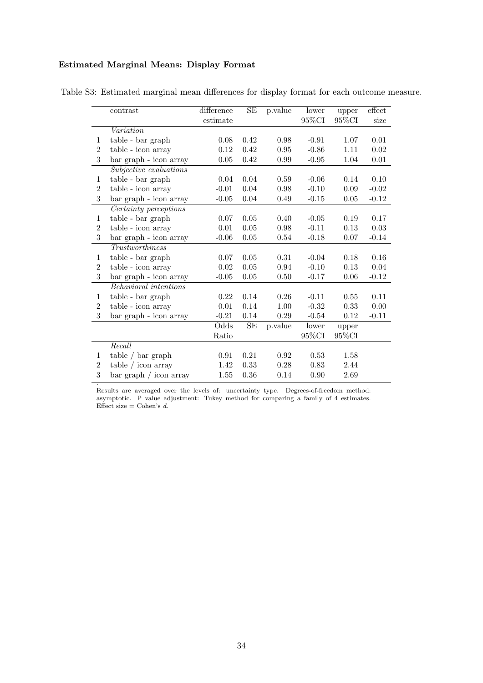## Estimated Marginal Means: Display Format

.

|                  | contrast                     | difference | SE       | p.value  | lower             | upper    | effect   |
|------------------|------------------------------|------------|----------|----------|-------------------|----------|----------|
|                  |                              | estimate   |          |          | $95\%\mathrm{CI}$ | 95%CI    | size     |
|                  | Variation                    |            |          |          |                   |          |          |
| 1                | table - bar graph            | 0.08       | 0.42     | 0.98     | $-0.91$           | 1.07     | 0.01     |
| $\boldsymbol{2}$ | table - icon array           | 0.12       | 0.42     | 0.95     | $-0.86$           | 1.11     | 0.02     |
| 3                | bar graph - icon array       | 0.05       | 0.42     | 0.99     | $-0.95$           | 1.04     | 0.01     |
|                  | Subjective evaluations       |            |          |          |                   |          |          |
| $\mathbf{1}$     | table - bar graph            | 0.04       | 0.04     | 0.59     | $-0.06$           | 0.14     | 0.10     |
| $\overline{2}$   | table - icon array           | $-0.01$    | 0.04     | 0.98     | $-0.10$           | 0.09     | $-0.02$  |
| 3                | bar graph - icon array       | $-0.05$    | $0.04\,$ | 0.49     | $-0.15$           | $0.05\,$ | $-0.12$  |
|                  | Certainty perceptions        |            |          |          |                   |          |          |
| 1                | table - bar graph            | 0.07       | 0.05     | 0.40     | $-0.05$           | 0.19     | 0.17     |
| $\overline{2}$   | table - icon array           | 0.01       | 0.05     | 0.98     | $-0.11$           | 0.13     | $0.03\,$ |
| 3                | bar graph - icon array       | $-0.06$    | 0.05     | 0.54     | $-0.18$           | 0.07     | $-0.14$  |
|                  | <b>Trustworthiness</b>       |            |          |          |                   |          |          |
| $\mathbf{1}$     | table - bar graph            | 0.07       | $0.05\,$ | 0.31     | $-0.04$           | 0.18     | $0.16\,$ |
| $\boldsymbol{2}$ | table - icon array           | 0.02       | 0.05     | 0.94     | $-0.10$           | 0.13     | 0.04     |
| 3                | bar graph - icon array       | $-0.05$    | $0.05\,$ | 0.50     | $-0.17$           | $0.06\,$ | $-0.12$  |
|                  | <b>Behavioral</b> intentions |            |          |          |                   |          |          |
| $\mathbf{1}$     | table - bar graph            | 0.22       | 0.14     | 0.26     | $-0.11$           | 0.55     | 0.11     |
| $\boldsymbol{2}$ | table - icon array           | 0.01       | 0.14     | 1.00     | $-0.32$           | 0.33     | 0.00     |
| 3                | bar graph - icon array       | $-0.21$    | $0.14\,$ | $0.29\,$ | $-0.54$           | 0.12     | $-0.11$  |
|                  |                              | Odds       | $\rm SE$ | p.value  | lower             | upper    |          |
|                  |                              | Ratio      |          |          | 95%CI             | 95%CI    |          |
|                  | Recall                       |            |          |          |                   |          |          |
| 1                | table / bar graph            | 0.91       | $0.21\,$ | 0.92     | 0.53              | 1.58     |          |
| $\boldsymbol{2}$ | table / icon array           | 1.42       | 0.33     | 0.28     | 0.83              | 2.44     |          |
| 3                | bar graph / icon array       | 1.55       | 0.36     | 0.14     | 0.90              | 2.69     |          |

Table S3: Estimated marginal mean differences for display format for each outcome measure.

Results are averaged over the levels of: uncertainty type. Degrees-of-freedom method: asymptotic. P value adjustment: Tukey method for comparing a family of 4 estimates. Effect size = Cohen's  $d$ .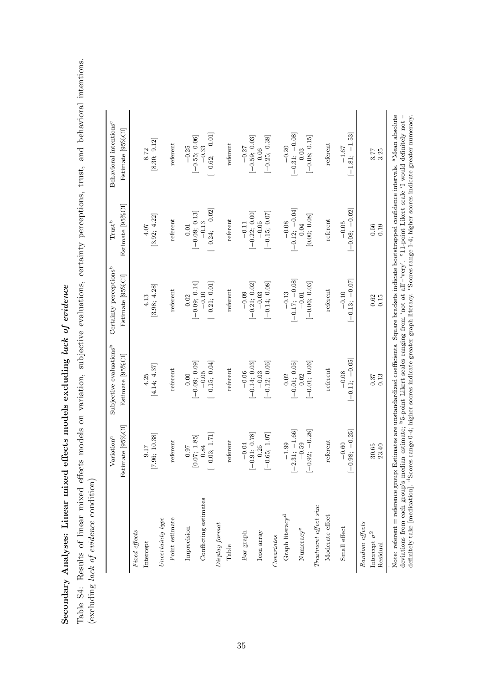Secondary Analyses: Linear mixed effects models excluding lack of evidence Secondary Analyses: Linear mixed effects models excluding *lack of evidence*  Table S4: Results of linear mixed effects models on variation, subjective evaluations, certainty perceptions, trust, and behavioral intentions.<br>(excluding lack of evidence condition) Table S4: Results of linear mixed effects models on variation, subjective evaluations, certainty perceptions, trust, and behavioral intentions. (excluding lack of evidence condition)

|                                                    | Variation <sup>a</sup>                     | Subjective evaluations <sup>b</sup> | Certainty perceptions <sup>b</sup>                                         | $\operatorname{Trust}^{\operatorname{b}}$              | Behavioral intentions <sup>c</sup> |
|----------------------------------------------------|--------------------------------------------|-------------------------------------|----------------------------------------------------------------------------|--------------------------------------------------------|------------------------------------|
|                                                    | Estimate [95%CI]                           | Estimate [95%CI]                    | Estimate [95%CI]                                                           | Estimate [95%CI]                                       | Estimate [95%CI                    |
| Fixed effects                                      |                                            |                                     |                                                                            |                                                        |                                    |
| Intercept                                          | [7.96; 10.38]<br>9.17                      | [4.14; 4.37]<br>4.25                | [3.98; 4.28]<br>4.13                                                       | [3.92; 4.22]<br>4.07                                   | [8.30; 9.12]<br>8.72               |
| $\label{eq:uncertainty} Uncertainty\ type$         |                                            |                                     |                                                                            |                                                        |                                    |
| Point estimate                                     | referent                                   | referent                            | referent                                                                   | referent                                               | referent                           |
| Imprecision                                        | 76.0                                       | 0.00                                | 0.02                                                                       | 0.01                                                   | $-0.25$<br>[-0.55; 0.06]           |
| Conflicting estimates                              | $[-0.03; 1.71]$<br>$[0.07;\ 1.85] \\ 0.84$ | $[-0.09; 0.09]$<br>-0.05            | $\begin{bmatrix} -0.09; \ 0.14] \\ -0.10 \end{bmatrix}$<br>$[-0.21; 0.01]$ | $\begin{bmatrix} -0.09; & 0.13 \\ -0.13 \end{bmatrix}$ | $-0.33$                            |
| Display format                                     |                                            | $[-0.15; 0.04]$                     |                                                                            | $[-0.24; -0.02]$                                       | $[-0.62; -0.01]$                   |
| Table                                              | referent                                   | referent                            | referent                                                                   | referent                                               | referent                           |
| Bar graph                                          | $[-0.91; 0.78]$<br>$-0.04$                 | $[-0.14; 0.03]$<br>$-0.06$          | $[-0.21; 0.02]$<br>$-0.09$                                                 | $[-0.22; 0.00]$<br>$-0.11$                             | $[-0.59; 0.03]$<br>$-0.27$         |
| Icon array                                         | 0.25                                       | $-0.03$                             | $-0.03$                                                                    | $-0.05$                                                | 0.06                               |
| Conurates                                          | $[-0.65; 1.07]$                            | $[-0.12; 0.06]$                     | $[-0.14; 0.08]$                                                            | $[-0.15; 0.07]$                                        | $[-0.25, 0.38]$                    |
|                                                    |                                            |                                     |                                                                            |                                                        |                                    |
| Graph literacy <sup>d</sup>                        | $[-2.31; -1.66]$<br>$-1.99$                | $[-0.01; 0.05]$<br>0.02             | $\begin{array}{c} -0.13 \\ [-0.17; -0.08] \end{array}$                     | $-0.08$<br>[-0.12; -0.04]                              | $[-0.31; -0.08]$<br>$-0.20$        |
| Numeracye                                          | $[-0.92; -0.28]$<br>$-0.59$                | $[-0.01; 0.06]$<br>0.02             | $[-0.06; 0.03]$<br>$-0.01$                                                 | [0.00; 0.08]<br>0.04                                   | $[-0.08; 0.15]$<br>0.03            |
| Treatment effect size                              |                                            |                                     |                                                                            |                                                        |                                    |
| Moderate effect                                    | referent                                   | referent                            | referent                                                                   | referent                                               | referent                           |
| Small effect                                       | $[-0.98; -0.25]$<br>$-0.60$                | $[-0.11; -0.05]$<br>$-0.08$         | $[-0.13; -0.07]$<br>$-0.10$                                                | $[-0.08; -0.02]$<br>$-0.05$                            | $[-1.81; -1.53]$<br>$-1.67$        |
| Random effects<br>Intercept $\sigma^2$<br>Residual | 23.40<br>30.65                             | 0.37<br>0.13                        | 0.62<br>0.15                                                               | 0.56<br>0.19                                           | 3.25<br>3.77                       |